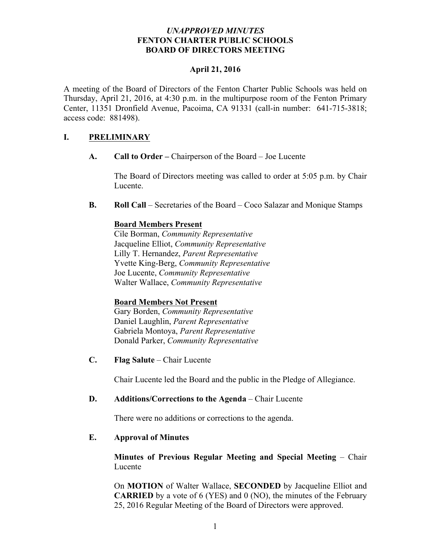## *UNAPPROVED MINUTES* **FENTON CHARTER PUBLIC SCHOOLS BOARD OF DIRECTORS MEETING**

## **April 21, 2016**

A meeting of the Board of Directors of the Fenton Charter Public Schools was held on Thursday, April 21, 2016, at 4:30 p.m. in the multipurpose room of the Fenton Primary Center, 11351 Dronfield Avenue, Pacoima, CA 91331 (call-in number: 641-715-3818; access code: 881498).

## **I. PRELIMINARY**

**A. Call to Order –** Chairperson of the Board – Joe Lucente

The Board of Directors meeting was called to order at 5:05 p.m. by Chair Lucente.

**B. Roll Call** – Secretaries of the Board – Coco Salazar and Monique Stamps

#### **Board Members Present**

Cile Borman, *Community Representative* Jacqueline Elliot, *Community Representative* Lilly T. Hernandez, *Parent Representative* Yvette King-Berg, *Community Representative* Joe Lucente, *Community Representative* Walter Wallace, *Community Representative* 

#### **Board Members Not Present**

Gary Borden, *Community Representative* Daniel Laughlin, *Parent Representative* Gabriela Montoya, *Parent Representative* Donald Parker, *Community Representative*

**C. Flag Salute** – Chair Lucente

Chair Lucente led the Board and the public in the Pledge of Allegiance.

#### **D. Additions/Corrections to the Agenda** – Chair Lucente

There were no additions or corrections to the agenda.

#### **E. Approval of Minutes**

## **Minutes of Previous Regular Meeting and Special Meeting** – Chair Lucente

On **MOTION** of Walter Wallace, **SECONDED** by Jacqueline Elliot and **CARRIED** by a vote of 6 (YES) and 0 (NO), the minutes of the February 25, 2016 Regular Meeting of the Board of Directors were approved.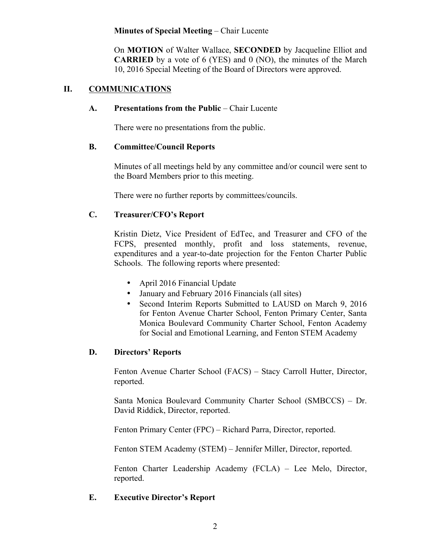### **Minutes of Special Meeting** – Chair Lucente

On **MOTION** of Walter Wallace, **SECONDED** by Jacqueline Elliot and **CARRIED** by a vote of 6 (YES) and 0 (NO), the minutes of the March 10, 2016 Special Meeting of the Board of Directors were approved.

# **II. COMMUNICATIONS**

## **A. Presentations from the Public** – Chair Lucente

There were no presentations from the public.

## **B. Committee/Council Reports**

Minutes of all meetings held by any committee and/or council were sent to the Board Members prior to this meeting.

There were no further reports by committees/councils.

# **C. Treasurer/CFO's Report**

Kristin Dietz, Vice President of EdTec, and Treasurer and CFO of the FCPS, presented monthly, profit and loss statements, revenue, expenditures and a year-to-date projection for the Fenton Charter Public Schools. The following reports where presented:

- April 2016 Financial Update
- January and February 2016 Financials (all sites)
- Second Interim Reports Submitted to LAUSD on March 9, 2016 for Fenton Avenue Charter School, Fenton Primary Center, Santa Monica Boulevard Community Charter School, Fenton Academy for Social and Emotional Learning, and Fenton STEM Academy

## **D. Directors' Reports**

Fenton Avenue Charter School (FACS) – Stacy Carroll Hutter, Director, reported.

Santa Monica Boulevard Community Charter School (SMBCCS) – Dr. David Riddick, Director, reported.

Fenton Primary Center (FPC) – Richard Parra, Director, reported.

Fenton STEM Academy (STEM) – Jennifer Miller, Director, reported.

Fenton Charter Leadership Academy (FCLA) – Lee Melo, Director, reported.

## **E. Executive Director's Report**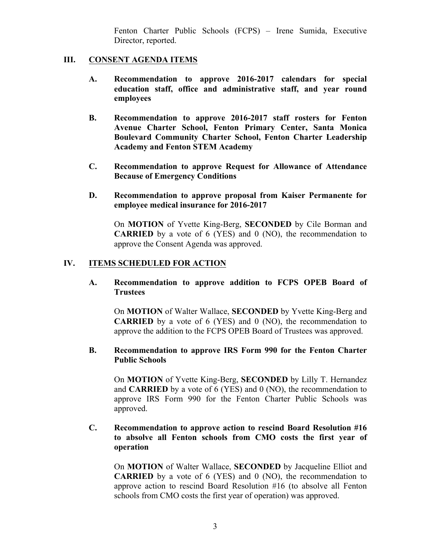Fenton Charter Public Schools (FCPS) – Irene Sumida, Executive Director, reported.

### **III. CONSENT AGENDA ITEMS**

- **A. Recommendation to approve 2016-2017 calendars for special education staff, office and administrative staff, and year round employees**
- **B. Recommendation to approve 2016-2017 staff rosters for Fenton Avenue Charter School, Fenton Primary Center, Santa Monica Boulevard Community Charter School, Fenton Charter Leadership Academy and Fenton STEM Academy**
- **C. Recommendation to approve Request for Allowance of Attendance Because of Emergency Conditions**
- **D. Recommendation to approve proposal from Kaiser Permanente for employee medical insurance for 2016-2017**

On **MOTION** of Yvette King-Berg, **SECONDED** by Cile Borman and **CARRIED** by a vote of 6 (YES) and 0 (NO), the recommendation to approve the Consent Agenda was approved.

## **IV. ITEMS SCHEDULED FOR ACTION**

**A. Recommendation to approve addition to FCPS OPEB Board of Trustees**

On **MOTION** of Walter Wallace, **SECONDED** by Yvette King-Berg and **CARRIED** by a vote of 6 (YES) and 0 (NO), the recommendation to approve the addition to the FCPS OPEB Board of Trustees was approved.

#### **B. Recommendation to approve IRS Form 990 for the Fenton Charter Public Schools**

On **MOTION** of Yvette King-Berg, **SECONDED** by Lilly T. Hernandez and **CARRIED** by a vote of 6 (YES) and 0 (NO), the recommendation to approve IRS Form 990 for the Fenton Charter Public Schools was approved.

## **C. Recommendation to approve action to rescind Board Resolution #16 to absolve all Fenton schools from CMO costs the first year of operation**

On **MOTION** of Walter Wallace, **SECONDED** by Jacqueline Elliot and **CARRIED** by a vote of 6 (YES) and 0 (NO), the recommendation to approve action to rescind Board Resolution #16 (to absolve all Fenton schools from CMO costs the first year of operation) was approved.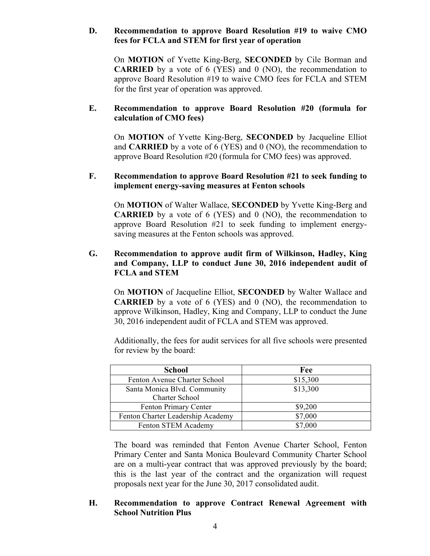## **D. Recommendation to approve Board Resolution #19 to waive CMO fees for FCLA and STEM for first year of operation**

On **MOTION** of Yvette King-Berg, **SECONDED** by Cile Borman and **CARRIED** by a vote of 6 (YES) and 0 (NO), the recommendation to approve Board Resolution #19 to waive CMO fees for FCLA and STEM for the first year of operation was approved.

## **E. Recommendation to approve Board Resolution #20 (formula for calculation of CMO fees)**

On **MOTION** of Yvette King-Berg, **SECONDED** by Jacqueline Elliot and **CARRIED** by a vote of 6 (YES) and 0 (NO), the recommendation to approve Board Resolution #20 (formula for CMO fees) was approved.

### **F. Recommendation to approve Board Resolution #21 to seek funding to implement energy-saving measures at Fenton schools**

On **MOTION** of Walter Wallace, **SECONDED** by Yvette King-Berg and **CARRIED** by a vote of 6 (YES) and 0 (NO), the recommendation to approve Board Resolution #21 to seek funding to implement energysaving measures at the Fenton schools was approved.

## **G. Recommendation to approve audit firm of Wilkinson, Hadley, King and Company, LLP to conduct June 30, 2016 independent audit of FCLA and STEM**

On **MOTION** of Jacqueline Elliot, **SECONDED** by Walter Wallace and **CARRIED** by a vote of 6 (YES) and 0 (NO), the recommendation to approve Wilkinson, Hadley, King and Company, LLP to conduct the June 30, 2016 independent audit of FCLA and STEM was approved.

Additionally, the fees for audit services for all five schools were presented for review by the board:

| <b>School</b>                     | Fee      |
|-----------------------------------|----------|
| Fenton Avenue Charter School      | \$15,300 |
| Santa Monica Blvd. Community      | \$13,300 |
| Charter School                    |          |
| Fenton Primary Center             | \$9,200  |
| Fenton Charter Leadership Academy | \$7,000  |
| Fenton STEM Academy               | \$7,000  |

The board was reminded that Fenton Avenue Charter School, Fenton Primary Center and Santa Monica Boulevard Community Charter School are on a multi-year contract that was approved previously by the board; this is the last year of the contract and the organization will request proposals next year for the June 30, 2017 consolidated audit.

## **H. Recommendation to approve Contract Renewal Agreement with School Nutrition Plus**